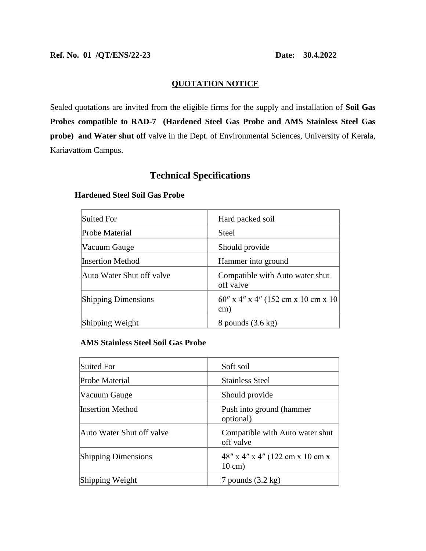# **QUOTATION NOTICE**

Sealed quotations are invited from the eligible firms for the supply and installation of **Soil Gas Probes compatible to RAD-7 (Hardened Steel Gas Probe and AMS Stainless Steel Gas probe) and Water shut off** valve in the Dept. of Environmental Sciences, University of Kerala, Kariavattom Campus.

# **Technical Specifications**

# Suited For **Hard packed soil** Probe Material Steel Vacuum Gauge Should provide Insertion Method Hammer into ground Auto Water Shut off valve **Compatible with Auto water shut** off valve Shipping Dimensions  $60'' \times 4'' \times 4'' (152 \text{ cm} \times 10 \text{ cm} \times 10$ cm) Shipping Weight 8 pounds (3.6 kg)

#### **Hardened Steel Soil Gas Probe**

### **AMS Stainless Steel Soil Gas Probe**

| Suited For                 | Soft soil                                               |
|----------------------------|---------------------------------------------------------|
| Probe Material             | <b>Stainless Steel</b>                                  |
| Vacuum Gauge               | Should provide                                          |
| <b>Insertion Method</b>    | Push into ground (hammer<br>optional)                   |
| Auto Water Shut off valve  | Compatible with Auto water shut<br>off valve            |
| <b>Shipping Dimensions</b> | $48''$ x 4" x 4" (122 cm x 10 cm x<br>$10 \text{ cm}$ ) |
| Shipping Weight            | 7 pounds $(3.2 \text{ kg})$                             |